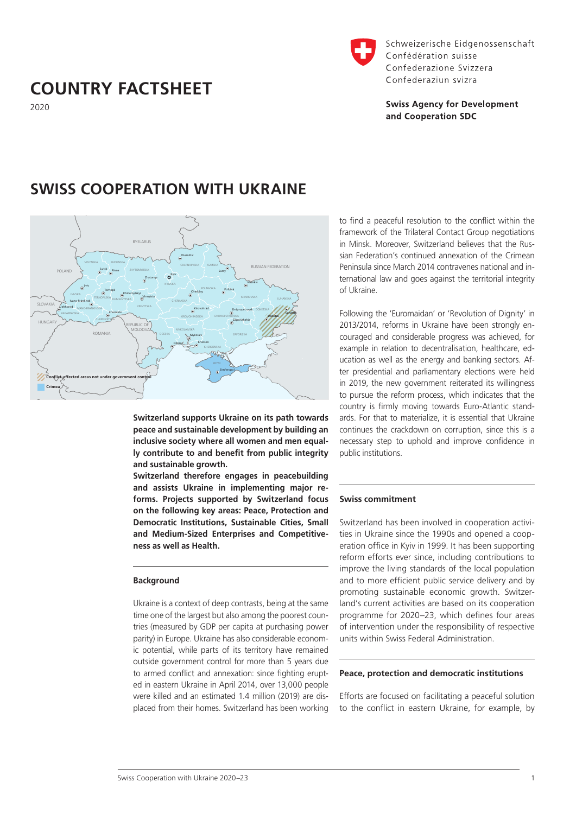# **COUNTRY FACTSHEET**

2020



Schweizerische Eidgenossenschaft Confédération suisse Confederazione Svizzera Confederaziun svizra

# **Swiss Agency for Development** and Cooperation SDC

# **SWISS COOPERATION WITH UKRAINE**



**Switzerland supports Ukraine on its path towards peace and sustainable development by building an inclusive society where all women and men equally contribute to and benefit from public integrity and sustainable growth.**

**Switzerland therefore engages in peacebuilding and assists Ukraine in implementing major reforms. Projects supported by Switzerland focus on the following key areas: Peace, Protection and Democratic Institutions, Sustainable Cities, Small and Medium-Sized Enterprises and Competitiveness as well as Health.**

### **Background**

Ukraine is a context of deep contrasts, being at the same time one of the largest but also among the poorest countries (measured by GDP per capita at purchasing power parity) in Europe. Ukraine has also considerable economic potential, while parts of its territory have remained outside government control for more than 5 years due to armed conflict and annexation: since fighting erupted in eastern Ukraine in April 2014, over 13,000 people were killed and an estimated 1.4 million (2019) are displaced from their homes. Switzerland has been working to find a peaceful resolution to the conflict within the framework of the Trilateral Contact Group negotiations in Minsk. Moreover, Switzerland believes that the Russian Federation's continued annexation of the Crimean Peninsula since March 2014 contravenes national and international law and goes against the territorial integrity of Ukraine.

Following the 'Euromaidan' or 'Revolution of Dignity' in 2013/2014, reforms in Ukraine have been strongly encouraged and considerable progress was achieved, for example in relation to decentralisation, healthcare, education as well as the energy and banking sectors. After presidential and parliamentary elections were held in 2019, the new government reiterated its willingness to pursue the reform process, which indicates that the country is firmly moving towards Euro-Atlantic standards. For that to materialize, it is essential that Ukraine continues the crackdown on corruption, since this is a necessary step to uphold and improve confidence in public institutions.

### **Swiss commitment**

Switzerland has been involved in cooperation activities in Ukraine since the 1990s and opened a cooperation office in Kyiv in 1999. It has been supporting reform efforts ever since, including contributions to improve the living standards of the local population and to more efficient public service delivery and by promoting sustainable economic growth. Switzerland's current activities are based on its cooperation programme for 2020–23, which defines four areas of intervention under the responsibility of respective units within Swiss Federal Administration.

### **Peace, protection and democratic institutions**

Efforts are focused on facilitating a peaceful solution to the conflict in eastern Ukraine, for example, by